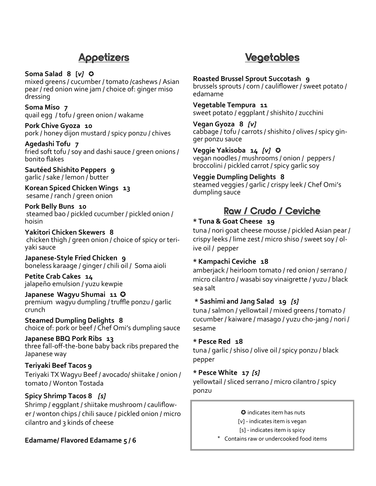# Appetizers

### **Soma Salad 8 [***v]* ✪

mixed greens / cucumber / tomato /cashews / Asian pear / red onion wine jam / choice of: ginger miso dressing

**Soma Miso 7**  quail egg / tofu / green onion / wakame

**Pork Chive Gyoza 10**  pork / honey dijon mustard / spicy ponzu / chives

### **Agedashi Tofu 7**

fried soft tofu / soy and dashi sauce / green onions / bonito flakes

#### **Sautéed Shishito Peppers 9** garlic / sake / lemon / butter

**Korean Spiced Chicken Wings 13** sesame / ranch / green onion

#### **Pork Belly Buns 10** steamed bao / pickled cucumber / pickled onion / hoisin

**Yakitori Chicken Skewers 8** chicken thigh / green onion / choice of spicy or teriyaki sauce

**Japanese-Style Fried Chicken 9** boneless karaage / ginger / chili oil / Soma aioli

**Petite Crab Cakes 14** jalapeño emulsion / yuzu kewpie

#### **Japanese Wagyu Shumai 11** ✪ premium wagyu dumpling / truffle ponzu / garlic crunch

**Steamed Dumpling Delights 8** choice of: pork or beef / Chef Omi's dumpling sauce

**Japanese BBQ Pork Ribs 13** three fall-off-the-bone baby back ribs prepared the Japanese way

# **Teriyaki Beef Tacos 9** Teriyaki TX Wagyu Beef / avocado/ shiitake / onion / tomato / Wonton Tostada

# **Spicy Shrimp Tacos 8** *[s]*

Shrimp / eggplant / shiitake mushroom / cauliflower / wonton chips / chili sauce / pickled onion / micro cilantro and 3 kinds of cheese

# **Edamame/ Flavored Edamame 5 / 6**

# Vegetables

**Roasted Brussel Sprout Succotash 9** brussels sprouts / corn / cauliflower / sweet potato / edamame

**Vegetable Tempura 11** sweet potato / eggplant / shishito / zucchini

**Vegan Gyoza 8** *[v]* cabbage / tofu / carrots / shishito / olives / spicy ginger ponzu sauce

**Veggie Yakisoba 14** *[v]* ✪ vegan noodles / mushrooms / onion / peppers / broccolini / pickled carrot / spicy garlic soy

**Veggie Dumpling Delights 8**  steamed veggies / garlic / crispy leek / Chef Omi's dumpling sauce

# Raw / Crudo / Ceviche

# **\* Tuna & Goat Cheese 19**

tuna / nori goat cheese mousse / pickled Asian pear / crispy leeks / lime zest / micro shiso / sweet soy / olive oil / pepper

# **\* Kampachi Ceviche 18**

amberjack / heirloom tomato / red onion / serrano / micro cilantro / wasabi soy vinaigrette / yuzu / black sea salt

# **\* Sashimi and Jang Salad 19** *[s]*

tuna / salmon / yellowtail / mixed greens / tomato / cucumber / kaiware / masago / yuzu cho-jang / nori / sesame

# **\* Pesce Red 18**

tuna / garlic / shiso / olive oil / spicy ponzu / black pepper

# **\* Pesce White 17** *[s]*

yellowtail / sliced serrano / micro cilantro / spicy ponzu

✪ indicates item has nuts

[v] - indicates item is vegan

[s] - indicates item is spicy

\* ✪Contains raw or undercooked food items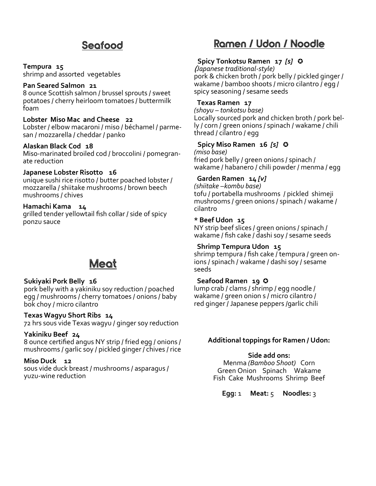# Seafood

#### **Tempura 15**

shrimp and assorted vegetables

#### **Pan Seared Salmon 21**

8 ounce Scottish salmon / brussel sprouts / sweet potatoes / cherry heirloom tomatoes / buttermilk foam

# **Lobster Miso Mac and Cheese 22**

Lobster / elbow macaroni / miso / béchamel / parmesan / mozzarella / cheddar / panko

#### **Alaskan Black Cod 18**

Miso-marinated broiled cod / broccolini / pomegranate reduction

#### **Japanese Lobster Risotto 16**

unique sushi rice risotto / butter poached lobster / mozzarella / shiitake mushrooms / brown beech mushrooms / chives

#### **Hamachi Kama 14**

grilled tender yellowtail fish collar / side of spicy ponzu sauce

# Meat

#### **Sukiyaki Pork Belly 16**

pork belly with a yakiniku soy reduction / poached egg / mushrooms / cherry tomatoes / onions / baby bok choy / micro cilantro

**Texas Wagyu Short Ribs 14**  72 hrs sous vide Texas wagyu / ginger soy reduction

#### **Yakiniku Beef 24**

8 ounce certified angus NY strip / fried egg / onions / mushrooms / garlic soy / pickled ginger / chives / rice

#### **Miso Duck 12**

sous vide duck breast / mushrooms / asparagus / yuzu-wine reduction

# Ramen / Udon / Noodle

# **Spicy Tonkotsu Ramen 17** *[s]*✪

(*Japanese traditional-style)*  pork & chicken broth / pork belly / pickled ginger / wakame / bamboo shoots / micro cilantro / egg / spicy seasoning / sesame seeds

#### **Texas Ramen 17**

*(shoyu – tonkotsu base)* Locally sourced pork and chicken broth / pork belly / corn / green onions / spinach / wakame / chili thread / cilantro / egg

#### **Spicy Miso Ramen 16** *[s]* ✪

*(miso base)* fried pork belly / green onions / spinach / wakame / habanero / chili powder / menma / egg

### **Garden Ramen 14** *[v]*

*(shiitake –kombu base)* tofu / portabella mushrooms / pickled shimeji mushrooms / green onions / spinach / wakame / cilantro

#### **\* Beef Udon 15**

NY strip beef slices / green onions / spinach / wakame / fish cake / dashi soy / sesame seeds

### **Shrimp Tempura Udon 15**

shrimp tempura / fish cake / tempura / green onions / spinach / wakame / dashi soy / sesame seeds

#### **Seafood Ramen 19** ✪

lump crab / clams / shrimp / egg noodle / wakame / green onion s / micro cilantro / red ginger / Japanese peppers /garlic chili

#### **Additional toppings for Ramen / Udon:**

#### **Side add ons:**

Menma *(Bamboo Shoot)* Corn Green Onion Spinach Wakame Fish Cake Mushrooms Shrimp Beef

**Egg:** 1 **Meat:** 5 **Noodles:** 3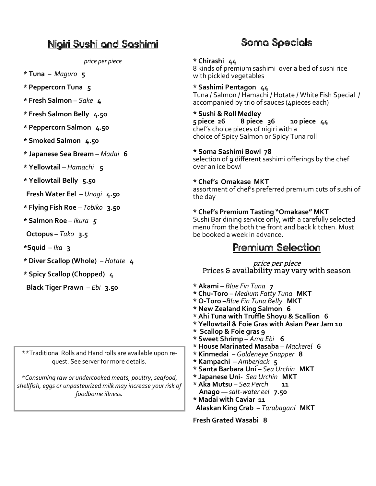# Nigiri Sushi and Sashimi

*price per piece*

- **\* Tuna** *Maguro* **5**
- **\* Peppercorn Tuna 5**
- **\* Fresh Salmon** *Sake* **4**
- **\* Fresh Salmon Belly 4.50**
- **\* Peppercorn Salmon 4.50**
- **\* Smoked Salmon 4.50**
- **\* Japanese Sea Bream**  *Madai* **6**
- **\* Yellowtail** *Hamachi* **5**
- **\* Yellowtail Belly****5.50**

 **Fresh Water Eel** – *Unagi* **4.50**

**\* Flying Fish Roe** – *Tobiko* **3.50**

- **\* Salmon Roe** *Ikura 5*
- **Octopus** *Tako* **3.5**
- **\*Squid** *Ika* **3**
- **\* Diver Scallop (Whole)** *Hotate* **4**

**\* Spicy Scallop (Chopped) 4**

 **Black Tiger Prawn** – *Ebi* **3.50**

\*\*Traditional Rolls and Hand rolls are available upon request. See server for more details.

*\*Consuming raw or undercooked meats, poultry, seafood, shellfish, eggs or unpasteurized milk may increase your risk of foodborne illness.*

# Soma Specials

### **\* Chirashi 44**

8 kinds of premium sashimi over a bed of sushi rice with pickled vegetables

**\* Sashimi Pentagon 44** Tuna / Salmon / Hamachi / Hotate / White Fish Special / accompanied by trio of sauces (4pieces each)

**\* Sushi & Roll Medley 10 piece 44** chef's choice pieces of nigiri with a choice of Spicy Salmon or Spicy Tuna roll

#### **\* Soma Sashimi Bowl 78**

selection of 9 different sashimi offerings by the chef over an ice bowl

#### **\* Chef's Omakase MKT**

assortment of chef's preferred premium cuts of sushi of the day

#### **\* Chef's Premium Tasting "Omakase" MKT**

Sushi Bar dining service only, with a carefully selected menu from the both the front and back kitchen. Must be booked a week in advance.

# Premium Selection

price per piece Prices & availability may vary with season

- **\* Akami** *Blue Fin Tuna* **7**
- **\* Chu-Toro** *Medium Fatty Tuna* **MKT**
- **\* O-Toro** –*Blue Fin Tuna Belly* **MKT**
- **\* New Zealand King Salmon 6**
- **\* Ahi Tuna with Truffle Shoyu & Scallion 6**
- **\* Yellowtail & Foie Gras with Asian Pear Jam 10**
- **\* Scallop & Foie gras 9**
- **\* Sweet Shrimp** *Ama Ebi* **6**
- **\* House Marinated Masaba** *Mackerel* **6**
- **\* Kinmedai**  *Goldeneye Snapper* **8**
- **\* Kampachi**  *Amberjack* **5**
- **\* Santa Barbara Uni** *Sea Urchin* **MKT**
- **\* Japanese Uni-** *Sea Urchin* **MKT**
- **\* Aka Mutsu** *Sea Perch* **11 Anago —** *salt-water eel* **7.50**
- **\* Madai with Caviar 11 Alaskan King Crab** – *Tarabagani* **MKT**

**Fresh Grated Wasabi 8**